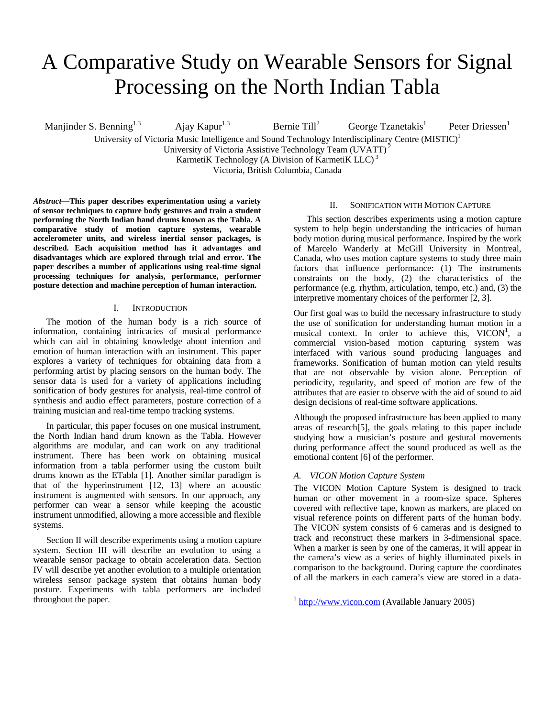# A Comparative Study on Wearable Sensors for Signal Processing on the North Indian Tabla

Manjinder S. Benning<sup>1,3</sup> Ajay Kapur<sup>1,3</sup> Bernie Till<sup>2</sup> George  $Tzanetakis<sup>1</sup>$ Peter Driessen<sup>1</sup> University of Victoria Music Intelligence and Sound Technology Interdisciplinary Centre (MISTIC)<sup>1</sup>

University of Victoria Assistive Technology Team (UVATT) 2

KarmetiK Technology (A Division of KarmetiK LLC)<sup>3</sup>

Victoria, British Columbia, Canada

*Abstract***—This paper describes experimentation using a variety of sensor techniques to capture body gestures and train a student performing the North Indian hand drums known as the Tabla. A comparative study of motion capture systems, wearable accelerometer units, and wireless inertial sensor packages, is described. Each acquisition method has it advantages and disadvantages which are explored through trial and error. The paper describes a number of applications using real-time signal processing techniques for analysis, performance, performer posture detection and machine perception of human interaction.** 

#### I. INTRODUCTION

The motion of the human body is a rich source of information, containing intricacies of musical performance which can aid in obtaining knowledge about intention and emotion of human interaction with an instrument. This paper explores a variety of techniques for obtaining data from a performing artist by placing sensors on the human body. The sensor data is used for a variety of applications including sonification of body gestures for analysis, real-time control of synthesis and audio effect parameters, posture correction of a training musician and real-time tempo tracking systems.

In particular, this paper focuses on one musical instrument, the North Indian hand drum known as the Tabla. However algorithms are modular, and can work on any traditional instrument. There has been work on obtaining musical information from a tabla performer using the custom built drums known as the ETabla [1]. Another similar paradigm is that of the hyperinstrument [12, 13] where an acoustic instrument is augmented with sensors. In our approach, any performer can wear a sensor while keeping the acoustic instrument unmodified, allowing a more accessible and flexible systems.

Section II will describe experiments using a motion capture system. Section III will describe an evolution to using a wearable sensor package to obtain acceleration data. Section IV will describe yet another evolution to a multiple orientation wireless sensor package system that obtains human body posture. Experiments with tabla performers are included throughout the paper.

### II. SONIFICATION WITH MOTION CAPTURE

This section describes experiments using a motion capture system to help begin understanding the intricacies of human body motion during musical performance. Inspired by the work of Marcelo Wanderly at McGill University in Montreal, Canada, who uses motion capture systems to study three main factors that influence performance: (1) The instruments constraints on the body, (2) the characteristics of the performance (e.g. rhythm, articulation, tempo, etc.) and, (3) the interpretive momentary choices of the performer [2, 3].

Our first goal was to build the necessary infrastructure to study the use of sonification for understanding human motion in a musical context. In order to achieve this,  $VICON<sup>1</sup>$ , a commercial vision-based motion capturing system was interfaced with various sound producing languages and frameworks. Sonification of human motion can yield results that are not observable by vision alone. Perception of periodicity, regularity, and speed of motion are few of the attributes that are easier to observe with the aid of sound to aid design decisions of real-time software applications.

Although the proposed infrastructure has been applied to many areas of research[5], the goals relating to this paper include studying how a musician's posture and gestural movements during performance affect the sound produced as well as the emotional content [6] of the performer.

## *A. VICON Motion Capture System*

The VICON Motion Capture System is designed to track human or other movement in a room-size space. Spheres covered with reflective tape, known as markers, are placed on visual reference points on different parts of the human body. The VICON system consists of 6 cameras and is designed to track and reconstruct these markers in 3-dimensional space. When a marker is seen by one of the cameras, it will appear in the camera's view as a series of highly illuminated pixels in comparison to the background. During capture the coordinates of all the markers in each camera's view are stored in a data-

<span id="page-0-0"></span> $1$  [http://www.vicon.com](http://www.vicon.com/) (Available January 2005)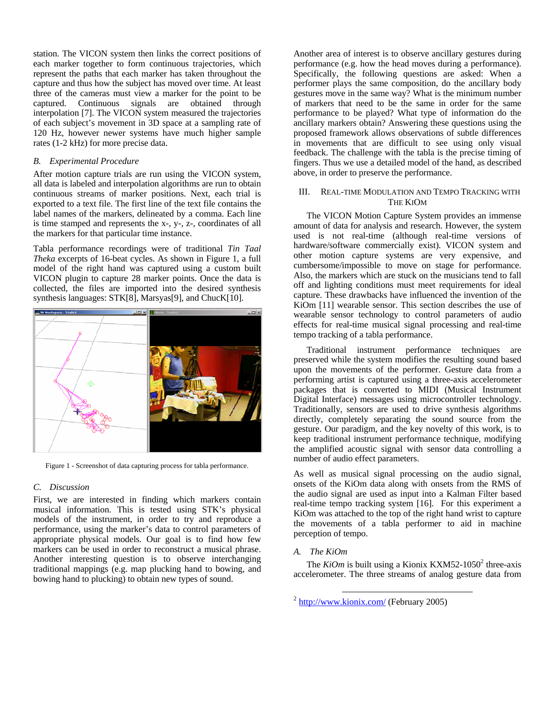station. The VICON system then links the correct positions of each marker together to form continuous trajectories, which represent the paths that each marker has taken throughout the capture and thus how the subject has moved over time. At least three of the cameras must view a marker for the point to be captured. Continuous signals are obtained through interpolation [7]. The VICON system measured the trajectories of each subject's movement in 3D space at a sampling rate of 120 Hz, however newer systems have much higher sample rates (1-2 kHz) for more precise data.

## *B. Experimental Procedure*

After motion capture trials are run using the VICON system, all data is labeled and interpolation algorithms are run to obtain continuous streams of marker positions. Next, each trial is exported to a text file. The first line of the text file contains the label names of the markers, delineated by a comma. Each line is time stamped and represents the x-, y-, z-, coordinates of all the markers for that particular time instance.

Tabla performance recordings were of traditional *Tin Taal Theka* excerpts of 16-beat cycles. As shown in [Figure 1,](#page-1-0) a full model of the right hand was captured using a custom built VICON plugin to capture 28 marker points. Once the data is collected, the files are imported into the desired synthesis synthesis languages: STK[8], Marsyas[9], and ChucK[10].

<span id="page-1-0"></span>

Figure 1 - Screenshot of data capturing process for tabla performance.

# *C. Discussion*

First, we are interested in finding which markers contain musical information. This is tested using STK's physical models of the instrument, in order to try and reproduce a performance, using the marker's data to control parameters of appropriate physical models. Our goal is to find how few markers can be used in order to reconstruct a musical phrase. Another interesting question is to observe interchanging traditional mappings (e.g. map plucking hand to bowing, and bowing hand to plucking) to obtain new types of sound.

Another area of interest is to observe ancillary gestures during performance (e.g. how the head moves during a performance). Specifically, the following questions are asked: When a performer plays the same composition, do the ancillary body gestures move in the same way? What is the minimum number of markers that need to be the same in order for the same performance to be played? What type of information do the ancillary markers obtain? Answering these questions using the proposed framework allows observations of subtle differences in movements that are difficult to see using only visual feedback. The challenge with the tabla is the precise timing of fingers. Thus we use a detailed model of the hand, as described above, in order to preserve the performance.

# III. REAL-TIME MODULATION AND TEMPO TRACKING WITH THE KIOM

The VICON Motion Capture System provides an immense amount of data for analysis and research. However, the system used is not real-time (although real-time versions of hardware/software commercially exist). VICON system and other motion capture systems are very expensive, and cumbersome/impossible to move on stage for performance. Also, the markers which are stuck on the musicians tend to fall off and lighting conditions must meet requirements for ideal capture. These drawbacks have influenced the invention of the KiOm [11] wearable sensor. This section describes the use of wearable sensor technology to control parameters of audio effects for real-time musical signal processing and real-time tempo tracking of a tabla performance.

Traditional instrument performance techniques are preserved while the system modifies the resulting sound based upon the movements of the performer. Gesture data from a performing artist is captured using a three-axis accelerometer packages that is converted to MIDI (Musical Instrument Digital Interface) messages using microcontroller technology. Traditionally, sensors are used to drive synthesis algorithms directly, completely separating the sound source from the gesture. Our paradigm, and the key novelty of this work, is to keep traditional instrument performance technique, modifying the amplified acoustic signal with sensor data controlling a number of audio effect parameters.

As well as musical signal processing on the audio signal, onsets of the KiOm data along with onsets from the RMS of the audio signal are used as input into a Kalman Filter based real-time tempo tracking system [16]. For this experiment a KiOm was attached to the top of the right hand wrist to capture the movements of a tabla performer to aid in machine perception of tempo.

# *A. The KiOm*

The *KiOm* is built using a Kionix KXM5[2](#page-1-1)-1050<sup>2</sup> three-axis accelerometer. The three streams of analog gesture data from

<span id="page-1-1"></span> $2 \text{ http://www.kionix.com/}$  (February 2005)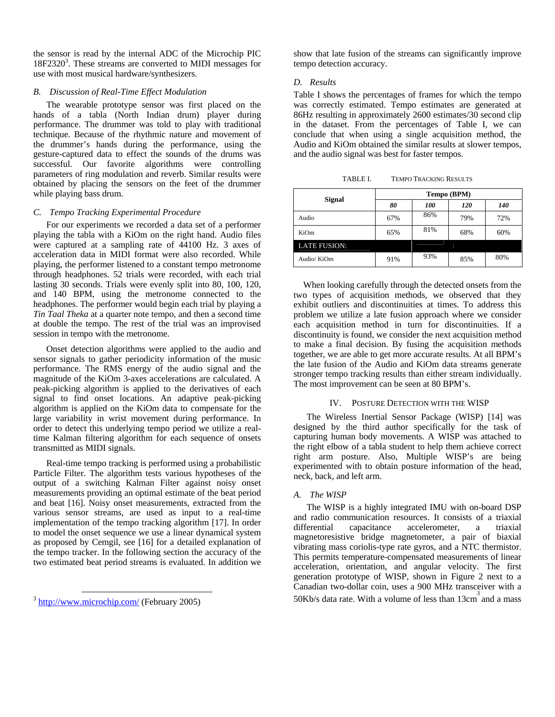the sensor is read by the internal ADC of the Microchip PIC 18F2320<sup>3</sup>. These streams are converted to MIDI messages for use with most musical hardware/synthesizers.

## *B. Discussion of Real-Time Effect Modulation*

The wearable prototype sensor was first placed on the hands of a tabla (North Indian drum) player during performance. The drummer was told to play with traditional technique. Because of the rhythmic nature and movement of the drummer's hands during the performance, using the gesture-captured data to effect the sounds of the drums was successful. Our favorite algorithms were controlling parameters of ring modulation and reverb. Similar results were obtained by placing the sensors on the feet of the drummer while playing bass drum.

### *C. Tempo Tracking Experimental Procedure*

For our experiments we recorded a data set of a performer playing the tabla with a KiOm on the right hand. Audio files were captured at a sampling rate of 44100 Hz. 3 axes of acceleration data in MIDI format were also recorded. While playing, the performer listened to a constant tempo metronome through headphones. 52 trials were recorded, with each trial lasting 30 seconds. Trials were evenly split into 80, 100, 120, and 140 BPM, using the metronome connected to the headphones. The performer would begin each trial by playing a *Tin Taal Theka* at a quarter note tempo, and then a second time at double the tempo. The rest of the trial was an improvised session in tempo with the metronome.

Onset detection algorithms were applied to the audio and sensor signals to gather periodicity information of the music performance. The RMS energy of the audio signal and the magnitude of the KiOm 3-axes accelerations are calculated. A peak-picking algorithm is applied to the derivatives of each signal to find onset locations. An adaptive peak-picking algorithm is applied on the KiOm data to compensate for the large variability in wrist movement during performance. In order to detect this underlying tempo period we utilize a realtime Kalman filtering algorithm for each sequence of onsets transmitted as MIDI signals.

Real-time tempo tracking is performed using a probabilistic Particle Filter. The algorithm tests various hypotheses of the output of a switching Kalman Filter against noisy onset measurements providing an optimal estimate of the beat period and beat [16]. Noisy onset measurements, extracted from the various sensor streams, are used as input to a real-time implementation of the tempo tracking algorithm [17]. In order to model the onset sequence we use a linear dynamical system as proposed by Cemgil, see [16] for a detailed explanation of the tempo tracker. In the following section the accuracy of the two estimated beat period streams is evaluated. In addition we show that late fusion of the streams can significantly improve tempo detection accuracy.

### *D. Results*

Table I shows the percentages of frames for which the tempo was correctly estimated. Tempo estimates are generated at 86Hz resulting in approximately 2600 estimates/30 second clip in the dataset. From the percentages of Table I, we can conclude that when using a single acquisition method, the Audio and KiOm obtained the similar results at slower tempos, and the audio signal was best for faster tempos.

| <b>TEMPO TRACKING RESULTS</b><br>TABLE I. |
|-------------------------------------------|
|-------------------------------------------|

|                     | Tempo (BPM)                              |     |     |     |
|---------------------|------------------------------------------|-----|-----|-----|
|                     | <b>Signal</b><br>80<br><i>100</i><br>120 |     | 140 |     |
| Audio               | 67%                                      | 86% | 79% | 72% |
| KiOm                | 65%                                      | 81% | 68% | 60% |
| <b>LATE FUSION:</b> |                                          |     |     |     |
| Audio/KiOm          | 91%                                      | 93% | 85% | 80% |

When looking carefully through the detected onsets from the two types of acquisition methods, we observed that they exhibit outliers and discontinuities at times. To address this problem we utilize a late fusion approach where we consider each acquisition method in turn for discontinuities. If a discontinuity is found, we consider the next acquisition method to make a final decision. By fusing the acquisition methods together, we are able to get more accurate results. At all BPM's the late fusion of the Audio and KiOm data streams generate stronger tempo tracking results than either stream individually. The most improvement can be seen at 80 BPM's.

#### IV. POSTURE DETECTION WITH THE WISP

The Wireless Inertial Sensor Package (WISP) [14] was designed by the third author specifically for the task of capturing human body movements. A WISP was attached to the right elbow of a tabla student to help them achieve correct right arm posture. Also, Multiple WISP's are being experimented with to obtain posture information of the head, neck, back, and left arm.

#### *A. The WISP*

The WISP is a highly integrated IMU with on-board DSP and radio communication resources. It consists of a triaxial differential capacitance accelerometer, a triaxial magnetoresistive bridge magnetometer, a pair of biaxial vibrating mass coriolis-type rate gyros, and a NTC thermistor. This permits temperature-compensated measurements of linear acceleration, orientation, and angular velocity. The first generation prototype of WISP, shown in [Figure 2](#page-3-0) next to a Canadian two-dollar coin, uses a 900 MHz transceiver with a 50Kb/s data rate. With a volume of less than  $13 \text{cm}^3$  and a mass

<span id="page-2-0"></span> <sup>3</sup> <http://www.microchip.com/>(February 2005)